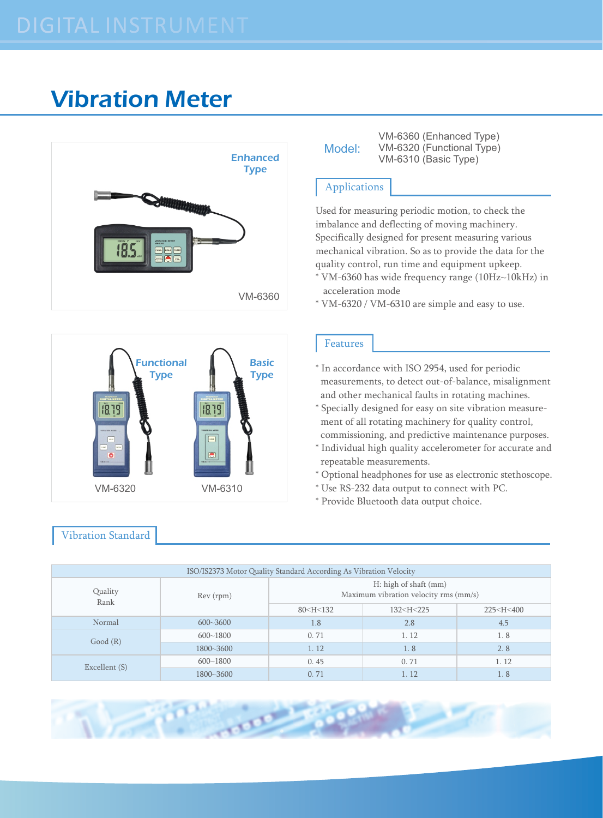## Vibration Meter





## Vibration Standard

| Model: |  |
|--------|--|
|        |  |

VM-6360 (Enhanced Type) VM-6320 (Functional Type) Enhanced VM-6310 (Basic Type)

## Applications

Used for measuring periodic motion, to check the imbalance and deflecting of moving machinery. Specifically designed for present measuring various mechanical vibration. So as to provide the data for the quality control, run time and equipment upkeep.

- \* VM-6360 has wide frequency range (10Hz~10kHz) in acceleration mode
- \* VM-6320 / VM-6310 are simple and easy to use.

## Features

- \* In accordance with ISO 2954, used for periodic measurements, to detect out-of-balance, misalignment and other mechanical faults in rotating machines.
- \* Specially designed for easy on site vibration measure ment of all rotating machinery for quality control, commissioning, and predictive maintenance purposes.
- \* Individual high quality accelerometer for accurate and repeatable measurements.
- \* Optional headphones for use as electronic stethoscope.
- \* Use RS-232 data output to connect with PC.
- \* Provide Bluetooth data output choice.

| ISO/IS2373 Motor Quality Standard According As Vibration Velocity |              |                                                                                                  |                                                                |                             |  |
|-------------------------------------------------------------------|--------------|--------------------------------------------------------------------------------------------------|----------------------------------------------------------------|-----------------------------|--|
| Quality<br>Rank                                                   | Rev (rpm)    | H: high of shaft (mm)<br>Maximum vibration velocity rms (mm/s)                                   |                                                                |                             |  |
|                                                                   |              | 80 <h<132< td=""><td>132<h<225< td=""><td>225<h<400< td=""></h<400<></td></h<225<></td></h<132<> | 132 <h<225< td=""><td>225<h<400< td=""></h<400<></td></h<225<> | 225 <h<400< td=""></h<400<> |  |
| Normal                                                            | $600 - 3600$ | 1.8                                                                                              | 2.8                                                            | 4.5                         |  |
| Good(R)                                                           | $600 - 1800$ | 0.71                                                                                             | 1.12                                                           | 1.8                         |  |
|                                                                   | 1800~3600    | 1.12                                                                                             | 1.8                                                            | 2.8                         |  |
| Excellent (S)                                                     | $600 - 1800$ | 0.45                                                                                             | 0.71                                                           | 1.12                        |  |
|                                                                   | 1800~3600    | 0.71                                                                                             | 1.12                                                           | 1.8                         |  |